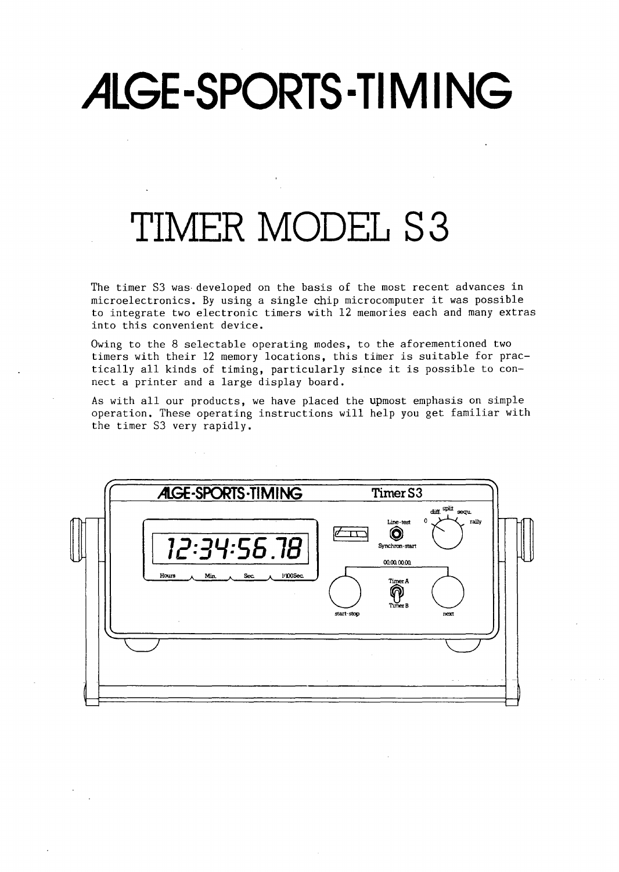# ALGE-SPORTS-TIMING

## **TIMER MODEL 83**

The timer S3 was· developed on the basis of the most recent advances in microelectronics. By using a single chip microcomputer it was possible to integrate two electronic timers with 12 memories each and many extras into this convenient device.

Owing to the 8 selectable operating modes, to the aforementioned two timers with their 12 memory locations, this timer is suitable for practically all kinds of timing, particularly since it is possible to connect a printer and a large display board.

As with all our products, we have placed the upmost emphasis on simple operation. These operating instructions will help you get familiar with the timer S3 very rapidly.

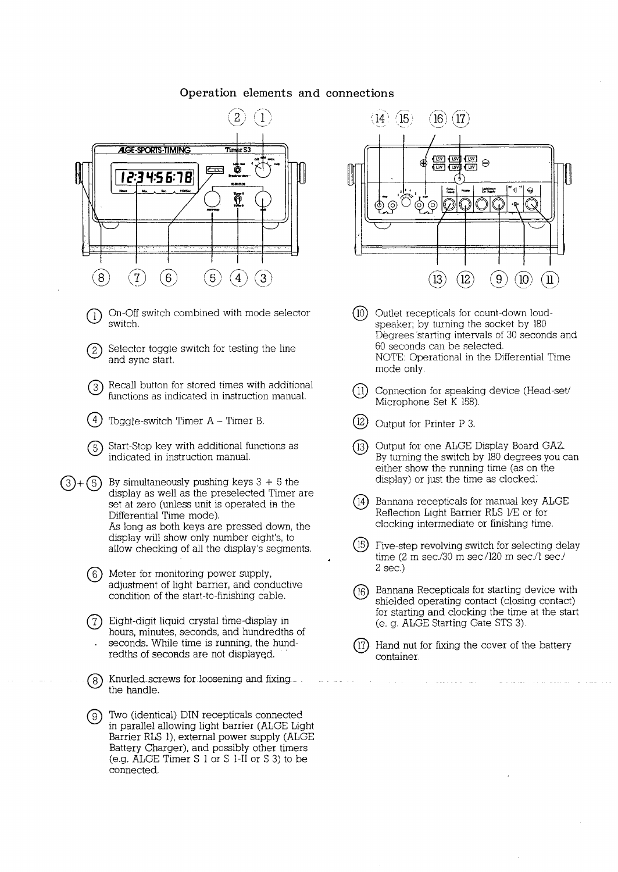#### **Operation elements and connections**



- On-Off switch combined with mode selector switch.
- $(2)$  Selector toggle switch for testing the line and sync start.
- @ Recall button for stored times with additional functions as indicated in instruction manual.
- $(4)$  Toggle-switch Timer A Timer B.
- Start-Stop key with additional functions as indicated in instruction manual.
- $(3)+(5)$  By simultaneously pushing keys 3 + 5 the display as well as the preselected Timer are set at zero (unless unit is operated in the Differential Time mode). As long as both keys are pressed down, the display will show only number eight's, to allow checking of all the display's segments.
	- <sup>6</sup> Meter for monitoring power supply,<br>adjustment of light barrier, and conc adjustment of light barrier, and conductive condition of the start-to-finishing cable.
	- Eight-digit liquid crystal time-display in hours, minutes, seconds, and hundredths of seconds. While time is running, the hundredths of seconds are not displayed.
	- @ Knurled-screws forloosening and fixing the handle.
	- ® Tvvo (identical) DIN recepticals connected in parallel allowing light barrier (ALGE Light Barrier RLS 1), external power supply (ALGE Battery Charger), and possibly other timers (e.g. ALGE Timer S 1 or S 1-II or S 3) to be connected.



- $(10)$ Outlet recepticals for count-down loudspeaker; by turning the socket by 180 Degrees starting intervals of 30 seconds and 60 seconds can be selected. NOTE: Operational in the Differential Time mode only.
- $(1)$  Connection for speaking device (Head-set/ Microphone Set K 158).
- $(12)$  Output for Printer P 3.
- @ Output for one ALGE Display Board GAZ. By turning the switch by 180 degrees you can either show the running time (as on the display) or just the time as clocked.'
- $(14)$  Bannana recepticals for manual key ALGE Reflection Light Barrier RLS l/E or for clocking intermediate or finishing time.
- (15) Five-step revolving switch for selecting delay time (2 m sec./30 m sec./120 m sec./1 sec./ 2 sec.)
- Bannana Recepticals for starting device with (16) shielded operating contact (closing contact) for starting and clocking the time at the start (e. g. ALGE Starting Gate STS 3)
- Hand nut for fixing the cover of the battery container.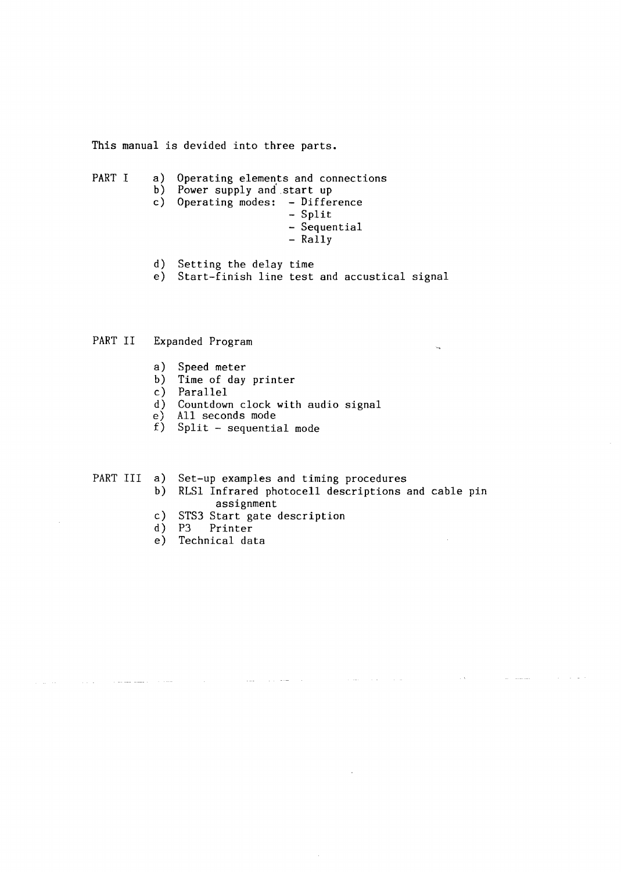This manual is devided into three parts.

- PART I a) Operating elements and connections b) Power supply and start up c) Operating modes: - Difference - Split - Sequential - Rally d) Setting the delay time
	- e) Start-finish line test and accustical signal

#### PART II Expanded Program

- a) Speed meter
- b) Time of day printer
- c) Parallel
- d) Countdown clock with audio signal
- e) All seconds mode
- f) Split sequential mode

#### PART III a) Set-up examples and timing procedures

b) RLSl Infrared photocell descriptions and cable pin assignment

 $\mathcal{L}^{\mathcal{L}}$ 

c) STS3 Start gate description

 $\sim 100$ 

and the same

- d) P3 Printer
- e) Technical data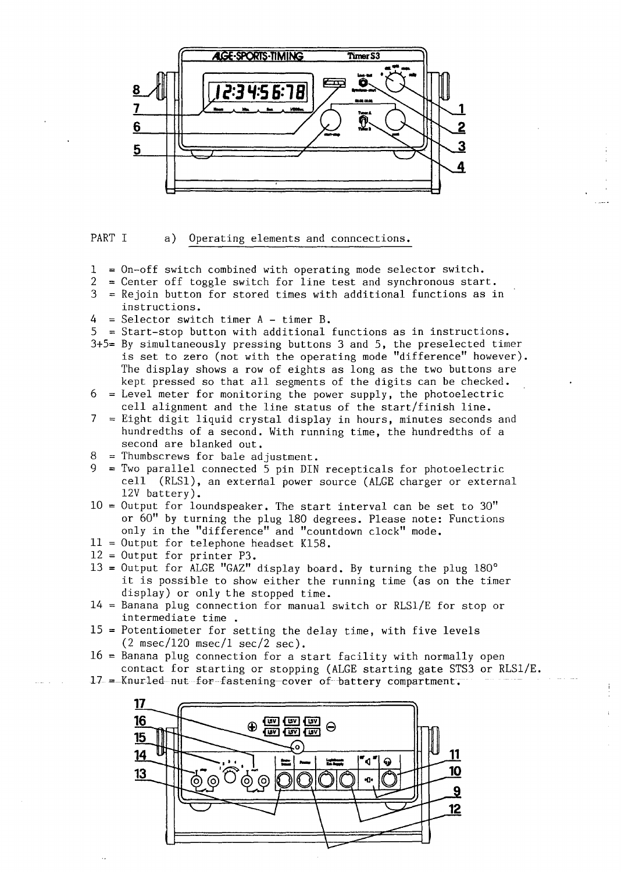

PART I a) Operating elements and conncections.

- $1 =$  On-off switch combined with operating mode selector switch.<br>  $2 =$  Center off toggle switch for line test and synchronous star
- 2 = Center off toggle switch for line test and synchronous start.<br>3 = Rejoin button for stored times with additional functions as i
- $=$  Rejoin button for stored times with additional functions as in instructions.
- $4$  = Selector switch timer A timer B.
- $5$  = Start-stop button with additional functions as in instructions.
- 3+5= By simultaneously pressing buttons 3 and 5, the preselected timer is set to zero (not with the operating mode "difference" however). The display shows a row of eights as long as the two buttons are kept pressed so that all segments of the digits can be checked.
- $6$  = Level meter for monitoring the power supply, the photoelectric cell alignment and the line status of the start/finish line.
- 7 Eight digit liquid crystal display in hours, minutes seconds and hundredths of a second. With running time, the hundredths of a second are blanked out.
- $8$  = Thumbscrews for bale adjustment.
- = Two parallel connected 5 pin DIN recepticals for photoelectric cell (RLS1), an external power source (ALGE charger or external 12V battery).
- $10 =$  Output for loundspeaker. The start interval can be set to 30" or 60" by turning the plug 180 degrees. Please note: Functions only in the "difference" and "countdown clock" mode.
- $11$  = Output for telephone headset K158.
- $12$  = Output for printer P3.
- $13$  = Output for ALGE "GAZ" display board. By turning the plug  $180^\circ$ it is possible to show either the running time (as on the timer display) or only the stopped time.
- $14$  = Banana plug connection for manual switch or RLS1/E for stop or intermediate time .
- $15$  = Potentiometer for setting the delay time, with five levels  $(2 \text{ msec}/120 \text{ msec}/1 \text{ sec}/2 \text{ sec}).$
- $16$  = Banana plug connection for a start facility with normally open contact for starting or stopping (ALGE starting gate STS3 or RLSl/E.
- 17 = Knurled nut for fastening cover of battery compartment.

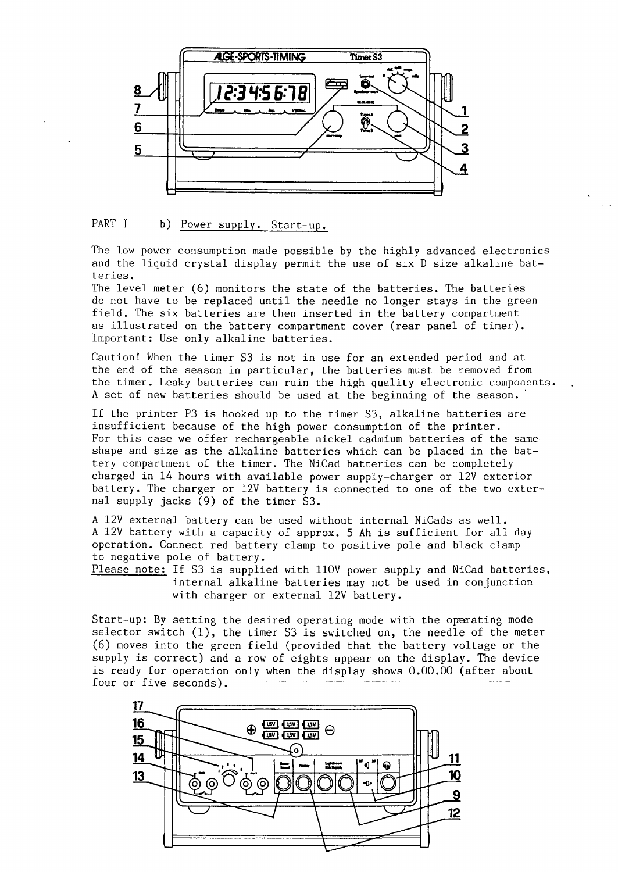

#### PART I b) Power supply. Start-up.

The low power consumption made possible by the highly advanced electronics and the liquid crystal display permit the use of six D size alkaline batteries.

The level meter (6) monitors the state of the batteries. The batteries do not have to be replaced until the needle no longer stays in the green field. The six batteries are then inserted in the battery compartment as illustrated on the battery compartment cover (rear panel of timer). Important: Use only alkaline batteries.

Caution! When the timer S3 is not in use for an extended period and at the end of the season in particular, the batteries must be removed from the timer. Leaky batteries can ruin the high quality electronic components. A set of new batteries should be used at the beginning of the season. ·

If the printer P3 is hooked up to the timer S3, alkaline batteries are insufficient because of the high power consumption of the printer. For this case we offer rechargeable nickel cadmium batteries of the same shape and size as the alkaline batteries which can be placed in the battery compartment of the timer. The NiCad batteries can be completely charged in 14 hours with available power supply-charger or 12V exterior battery. The charger or 12V battery is connected to one of the two external supply jacks (9) of the timer S3.

A 12V external battery can be used without internal NiCads as well. A 12V battery with a capacity of approx. 5 Ah is sufficient for all day operation. Connect red battery clamp to positive pole and black clamp to negative pole of battery.

Please note: If S3 is supplied with 110V power supply and NiCad batteries, internal alkaline batteries may not be used in conjunction with charger or external 12V battery.

Start-up: By setting the desired operating mode with the operating mode selector switch  $(1)$ , the timer S3 is switched on, the needle of the meter (6) moves into the green field (provided that the battery voltage or the supply is correct) and a row of eights appear on the display. The device is ready for operation only when the display shows 0.00.00 (after about four or-five seconds).

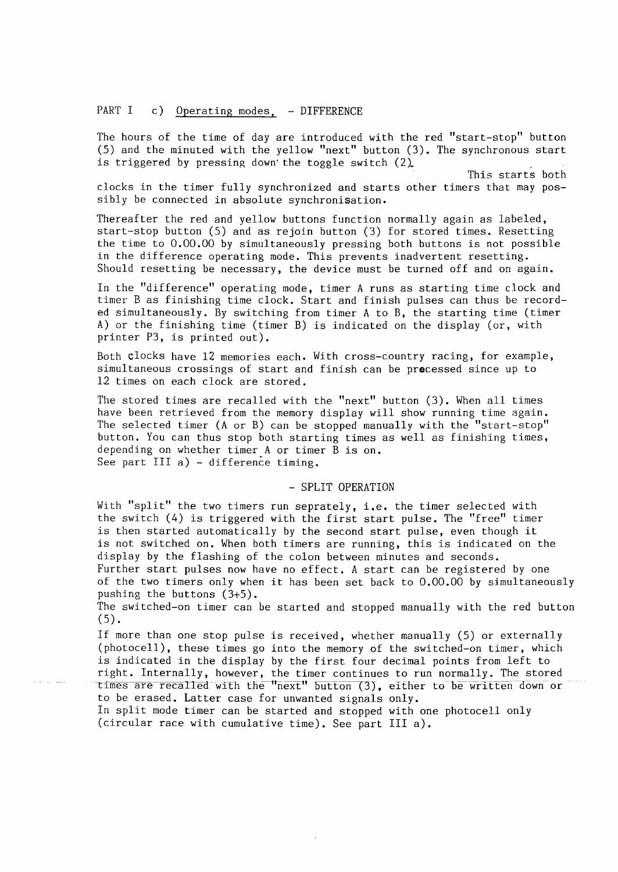#### PART I c) Operating modes, - DIFFERENCE

The hours of the time of day are introduced with the red "start-stop" button (5) and the minuted with the yellow "next" button (3). The synchronous start is triggered by pressing down the toggle switch  $(2)$ .

This starts both clocks in the timer fully synchronized and starts other timers that may possibly be connected in absolute synchronisation.

Thereafter the red and yellow buttons function normally again as labeled, start-stop button (5) and as rejoin button (3) for stored times. Resetting the time to 0.00.00 by simultaneously pressing both buttons is not possible in the difference operating mode. This prevents inadvertent resetting. Should resetting be necessary, the device must be turned off and on again.

In the "difference" operating mode, timer A runs as starting time clock and timer B as finishing time clock. Start and finish pulses can thus be recorded simultaneously. By switching from timer A to B, the starting time (timer A) or the finishing time (timer B) is indicated on the display (or, with printer P3, is printed out).

Both clocks have 12 memories each. With cross-country racing, for example, simultaneous crossings of start and finish can be precessed since up to 12 times on each clock are stored.

The stored times are recalled with the "next" button (3). When all times have been retrieved from the memory display will show running time again. The selected timer (A or B) can be stopped manually with the "start-stop" button. You can thus stop both starting times as well as finishing times, depending on whether timer A or timer B is on. See part III a) - difference timing.

#### - SPLIT OPERATION

With "split" the two timers run seprately, i.e. the timer selected with the switch (4) is triggered with the first start pulse. The "free" timer is then started automatically by the second start pulse, even though it is not switched on. When both timers are running, this is indicated on the display by the flashing of the colon between minutes and seconds. Further start pulses now have no effect. A start can be registered by one of the two timers only when it has been set back to 0,00.00 by simultaneously

pushing the buttons (3+5). The switched-on timer can be started and stopped manually with the red button

(5).

If more than one stop pulse is received, whether manually (5) or externally (photocell), these times go into the memory of the switched-on timer, which is indicated in the display by the first four decimal points from left to right. Internally, however, the timer continues to run normally. The stored times are recalled with the "next" button (3), either to be written down or to be erased. Latter case for unwanted signals only.

In split mode timer can be started and stopped with one photocell only (circular race with cumulative time). See part III a).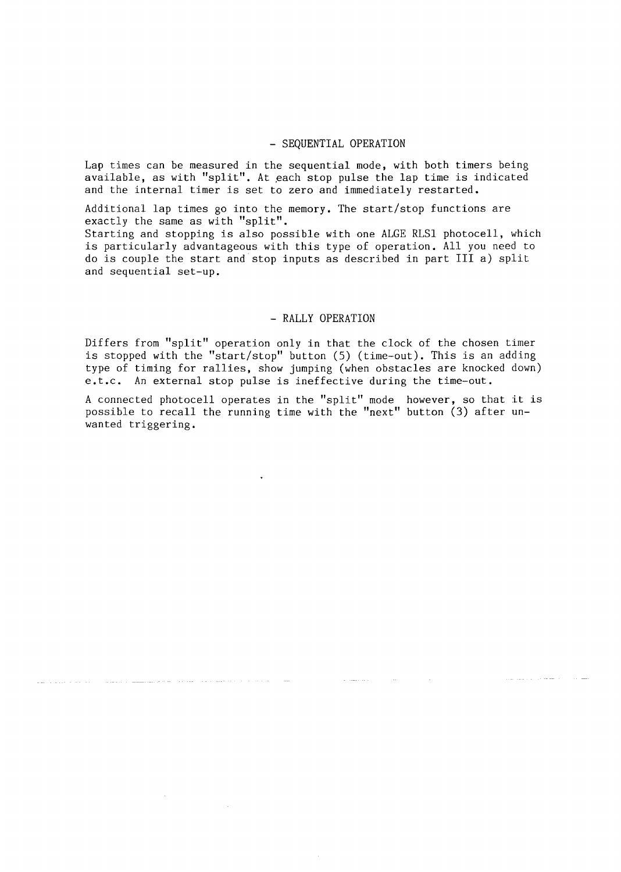#### - SEQUENTIAL OPERATION

Lap times can be measured in the sequential mode, with both timers being available, as with "split". At each stop pulse the lap time is indicated and the internal timer is set to zero and immediately restarted.

Additional lap times go into the memory. The start/stop functions are exactly the same as with "split".

Starting and stopping is also possible with one ALGE RLSl photocell, which is particularly advantageous with this type of operation. All you need to do is couple the start and stop inputs as described in part III a) split and sequential set-up.

#### - RALLY OPERATION

Differs from "split" operation only in that the clock of the chosen timer is stopped with the "start/stop" button (5) (time-out). This is an adding type of timing for rallies, show jumping (when obstacles are knocked down) e.t.c. An external stop pulse is ineffective during the time-out.

A connected photocell operates in the "split" mode however, so that it is possible to recall the running time with the "next" button (3) after unwanted triggering.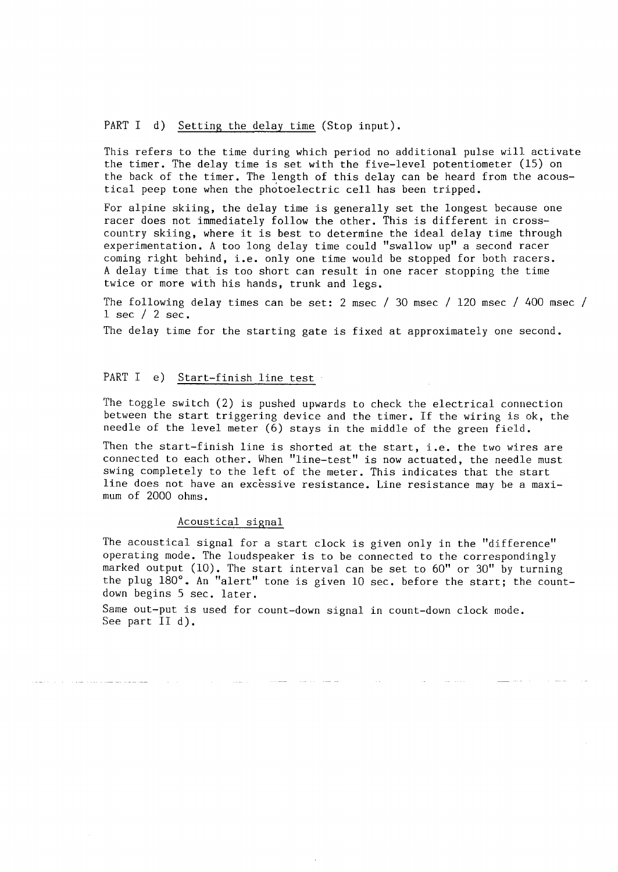#### PART I d) Setting the delay time (Stop input).

This refers to the time during which period no additional pulse will activate the timer. The delay time is set with the five-level potentiometer (15) on the back of the timer. The length of this delay can be heard from the acoustical peep tone when the photoelectric cell has been tripped.

For alpine skiing, the delay time is generally set the longest because one racer does not immediately follow the other. This is different in crosscountry skiing, where it is best to determine the ideal delay time through experimentation. A too long delay time could "swallow up" a second racer coming right behind, i.e. only one time would be stopped for both racers. A delay time that is too short can result in one racer stopping the time twice or more with his hands, trunk and legs.

The following delay times can be set: 2 msec / 30 msec / 120 msec / 400 msec / 1 sec / 2 sec.

The delay time for the starting gate is fixed at approximately one second.

#### PART I e) Start-finish line test

The toggle switch (2) is pushed upwards to check the electrical connection between the start triggering device and the timer. If the wiring is ok, the needle of the level meter (6) stays in the middle of the green field.

Then the start-finish line is shorted at the start, i.e. the two wires are connected to each other. When "line-test" is now actuated, the needle must swing completely to the left of the meter. This indicates that the start line does not have an excessive resistance. Line resistance may be a maximum of 2000 ohms.

#### Acoustical signal

The acoustical signal for a start clock is given only in the "difference" operating mode. The loudspeaker is to be connected to the correspondingly marked output (10). The start interval can be set to 60" or 30" by turning the plug 180°. An "alert" tone is given 10 sec. before the start; the countdown begins 5 sec. later.

Same out-put is used for count-down signal in count-down clock mode. See part II d).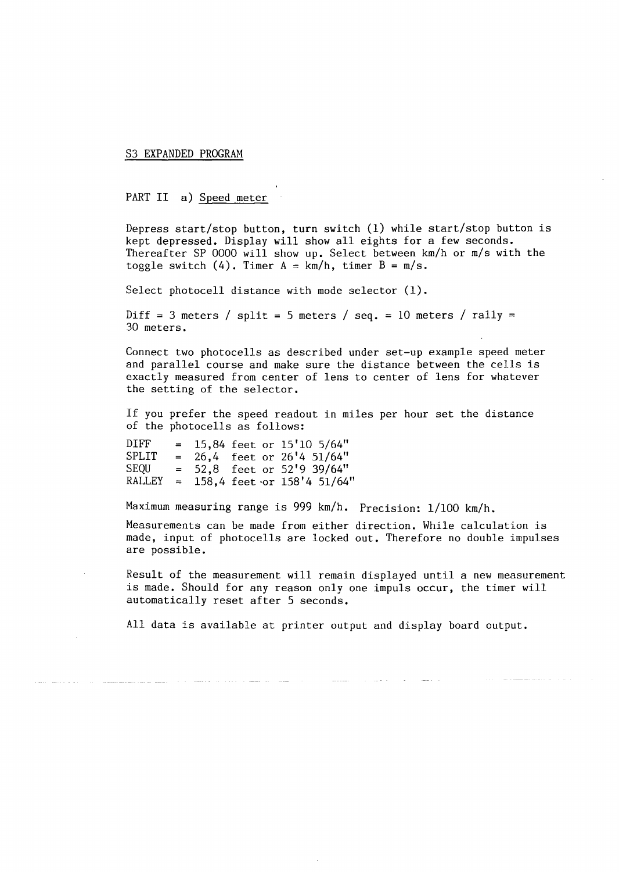S3 EXPANDED PROGRAM

PART II a) Speed meter

Depress start/stop button, turn switch (1) while start/stop button is kept depressed. Display will show all eights for a few seconds. Thereafter SP 0000 will show up. Select between km/h or m/s with the toggle switch  $(4)$ . Timer A = km/h, timer B = m/s.

Select photocell distance with mode selector (1).

Diff = 3 meters / split = 5 meters / seq. = 10 meters / rally = 30 meters.

Connect two photocells as described under set-up example speed meter and parallel course and make sure the distance between the cells is exactly measured from center of lens to center of lens for whatever the setting of the selector.

If you prefer the speed readout in miles per hour set the distance of the photocells as follows:

DIFF =  $15,84$  feet or  $15'10 \frac{5}{64}$ "<br>SPLIT =  $26.4$  feet or  $26'4 \frac{51}{64}$ "  $SPLIT = 26,4$  feet or  $26'4$  51/64"<br> $SEOU = 52.8$  feet or 52'9 39/64" SEQU =  $52,8$  feet or  $52'9$  39/64"<br>RALLEY =  $158.4$  feet or  $158'4$  51/64"  $=$  158,4 feet or 158'4 51/64"

Maximum measuring range is 999 km/h. Precision: 1/100 km/h.

Measurements can be made from either direction. While calculation is made, input of photocells are locked out. Therefore no double impulses are possible.

Result of the measurement will remain displayed until a new measurement is made. Should for any reason only one impuls occur, the timer will automatically reset after 5 seconds.

All data is available at printer output and display board output.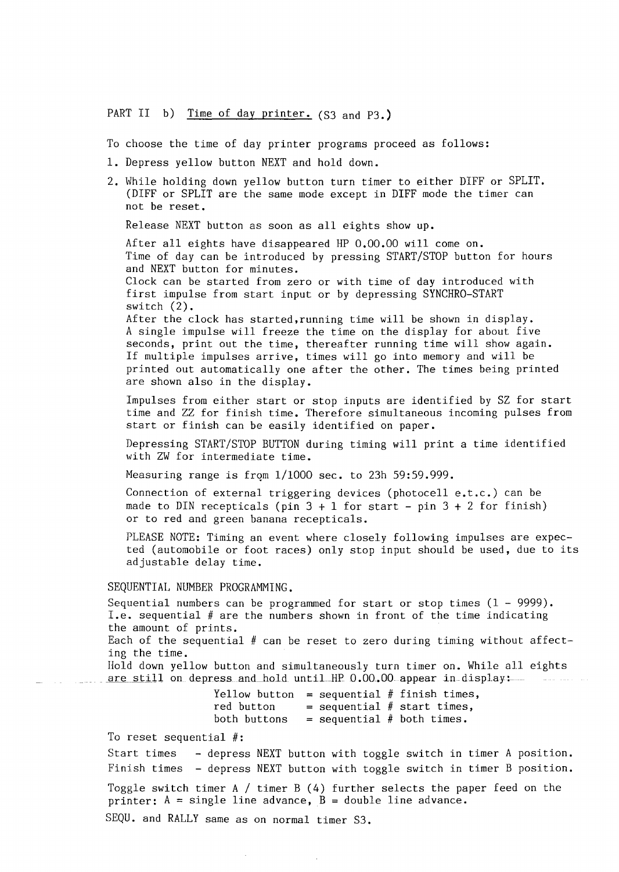PART II b) Time of day printer. (S3 and P3.)

To choose the time of day printer programs proceed as follows:

- 1. Depress yellow button NEXT and hold down.
- 2. While holding down yellow button turn timer to either DIFF or SPLIT. (DIFF or SPLIT are the same mode except in DIFF mode the timer can not be reset.

Release NEXT button as soon as all eights show up.

After all eights have disappeared HP 0.00.00 will come on. Time of day can be introduced by pressing START/STOP button for hours and NEXT button for minutes. Clock can be started from zero or with time of day introduced with first impulse from start input or by depressing SYNCHRO-START switch (2). After the clock has started,running time will be shown in display.

A single impulse will freeze the time on the display for about five seconds, print out the time, thereafter running time will show again. If multiple impulses arrive, times will go into memory and will be printed out automatically one after the other. The times being printed are shown also in the display.

Impulses from either start or stop inputs are identified by SZ for start time and ZZ for finish time. Therefore simultaneous incoming pulses from start or finish can be easily identified on paper.

Depressing START/STOP BUTTON during timing will print a time identified with ZW for intermediate time.

Measuring range is from  $1/1000$  sec. to 23h 59:59.999.

Connection of external triggering devices (photocell e.t.c.) can be made to DIN recepticals (pin  $3 + 1$  for start - pin  $3 + 2$  for finish) or to red and green banana recepticals.

PLEASE NOTE: Timing an event where closely following impulses are expected (automobile or foot races) only stop input should be used, due to its adjustable delay time.

#### SEQUENTIAL NUMBER PROGRAMMING.

Sequential numbers can be programmed for start or stop times  $(1 - 9999)$ . I.e. sequential # are the numbers shown in front of the time indicating the amount of prints.

Each of the sequential # can be reset to zero during timing without affecting the time.

Hold down yellow button and simultaneously turn timer on. While all eights are still on depress and hold until HP 0.00.00 appear in display:

> Yellow button = sequential # finish times, red button = sequential # start times,<br>both buttons = sequential # both times.  $=$  sequential # both times.

To reset sequential #:

Start times - depress NEXT button with toggle switch in timer A position. Finish times - depress NEXT button with toggle switch in timer B position.

Toggle switch timer A / timer B (4) further selects the paper feed on the printer:  $A = single line advance, B = double line advance.$ 

SEQU. and RALLY same as on normal timer S3.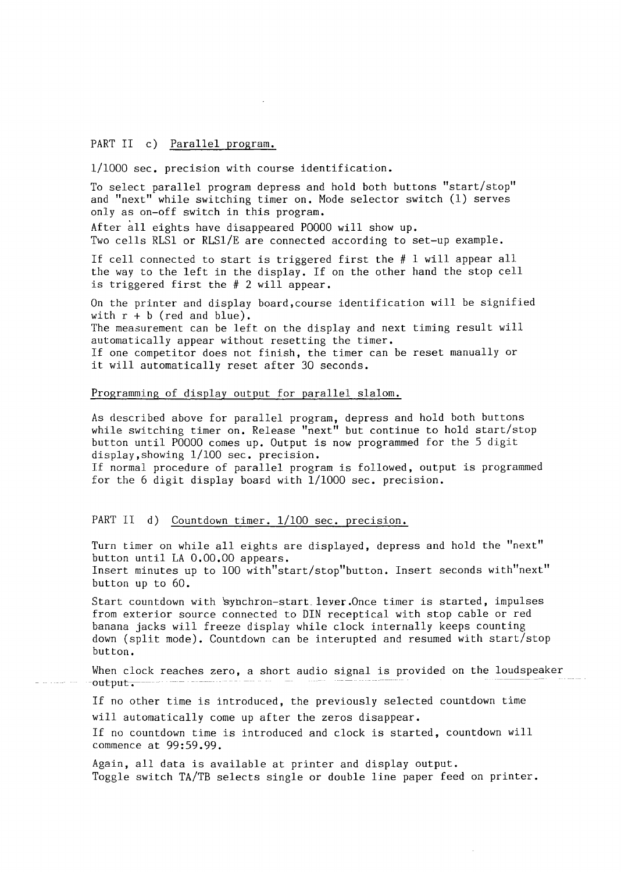#### PART II c) Parallel program.

1/1000 sec. precision with course identification.

To select parallel program depress and hold both buttons "start/stop" and "next" while switching timer on, Mode selector switch (1) serves only as on-off switch in this program.

After all eights have disappeared POOOO will show up. Two cells RLSl or RLSl/E are connected according to set-up example.

If cell connected to start is triggered first the # 1 will appear all the way to the left in the display. If on the other hand the stop cell is triggered first the # 2 will appear.

On the printer and display board,course identification will be signified with  $r + b$  (red and blue).

The measurement can be left on the display and next timing result will automatically appear without resetting the timer.

If one competitor does not finish, the timer can be reset manually or it will automatically reset after 30 seconds.

#### Programming of display output for parallel slalom,

As described above for parallel program, depress and hold both buttons while switching timer on, Release "next" but continue to hold start/stop button until POOOO comes up. Output is now programmed for the 5 digit display,showing 1/100 sec, precision.

If normal procedure of parallel program is followed, output is programmed for the 6 digit display board with  $1/1000$  sec. precision.

#### PART II d) Countdown timer. 1/100 sec. precision.

Turn timer on while all eights are displayed, depress and hold the "next" button until LA 0.00,00 appears. Insert minutes up to 100 with"start/stop"button. Insert seconds with"next" button up to 60.

Start countdown with 'synchron-start lever. Once timer is started, impulses from exterior source connected to DIN receptical with stop cable or red banana jacks will freeze display while clock internally keeps counting down (split mode). Countdown can be interupted and resumed with start/stop button.

When clock reaches zero, a short audio signal is provided on the loudspeaker  $-$ out $-$ 

If no other time is introduced, the previously selected countdown time will automatically come up after the zeros disappear.

If no countdown time is introduced and clock is started, countdown will commence at 99:59.99.

Again, all data is available at printer and display output. Toggle switch TA/TB selects single or double line paper feed on printer.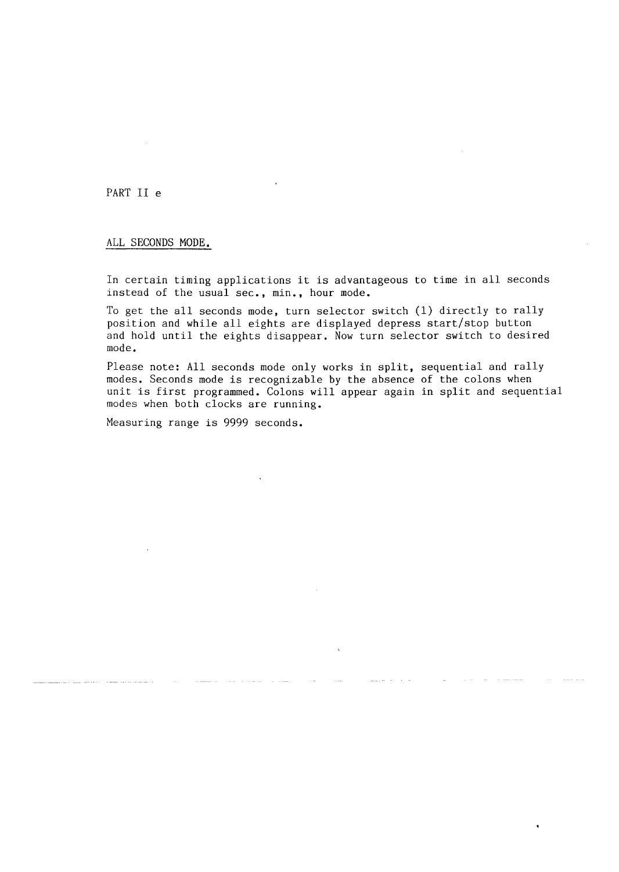#### PART II e

#### ALL SECONDS MODE.

In certain timing applications it is advantageous to time in all seconds instead of the usual sec., min., hour mode.

To get the all seconds mode, turn selector switch (1) directly to rally position and while all eights are displayed depress start/stop button and hold until the eights disappear. Now turn selector switch to desired mode.

Please note: All seconds mode only works in split, sequential and rally modes. Seconds mode is recognizable by the absence of the colons when unit is first programmed. Colons will appear again in split and sequential modes when both clocks are running.

Measuring range is 9999 seconds.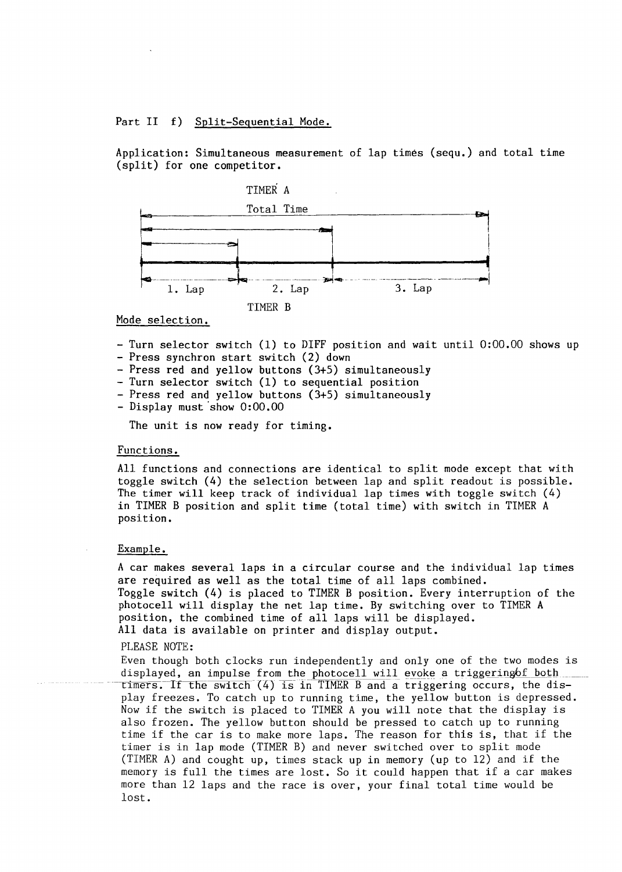Part II f) Split-Seguential Mode.

Application: Simultaneous measurement of lap times {sequ.) and total time (split) for one competitor.



#### Mode selection.

- Turn selector switch (1) to DIFF position and wait until 0:00.00 shows up
- Press synchron start switch (2) down
- Press red and yellow buttons (3+5) simultaneously
- Turn selector switch (1) to sequential position
- Press red and yellow buttons (3+5) simultaneously
- Display must 'show 0:00.00

The unit is now ready for timing.

#### Functions.

All functions and connections are identical to split mode except that with toggle switch (4) the selection between lap and split readout is possible. The timer will keep track of individual lap times with toggle switch (4) in TIMER B position and split time (total time) with switch in TIMER A position.

#### Example.

A car makes several laps in a circular course and the individual lap times are required as well as the total time of all laps combined. Toggle switch (4) is placed to TIMER B position. Every interruption of the photocell will display the net lap time. By switching over to TIMER A position, the combined time of all laps will be displayed. All data is available on printer and display output.

#### PLEASE NOTE:

Even though both clocks run independently and only one of the two modes is displayed, an impulse from the photocell will evoke a triggering of both  $t$ imers. If the switch (4) is in TIMER B and a triggering occurs, the display freezes. To catch up to running time, the yellow button is depressed. Now if the switch is placed to TIMER A you will note that the display is also frozen. The yellow button should be pressed to catch up to running time if the car is to make more laps. The reason for this is, that if the timer is in lap mode (TIMER B) and never switched over to split mode (TIMER A) and cought up, times stack up in memory (up to 12) and if the memory is full the times are lost. So it could happen that if a car makes more than 12 laps and the race is over, your final total time would be lost.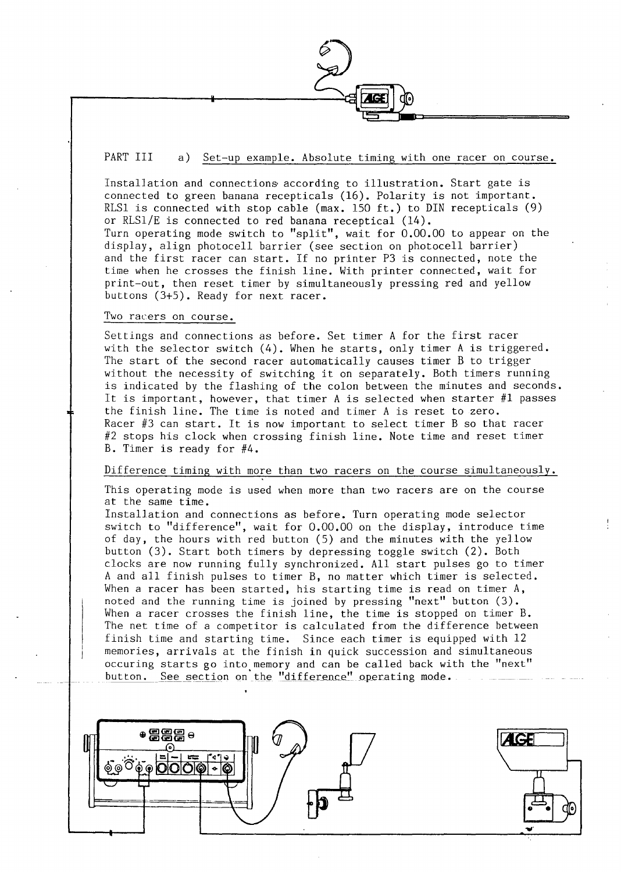PART III a) Set-up example. Absolute timing with one racer on course.

Installation and connections according to illustration. Start gate is connected to green banana recepticals (16). Polarity is not important. RLSl is connected with stop cable (max. 150 ft.) to DIN recepticals (9) or RLSl/E is connected to red banana receptical (14). Turn operating mode switch to "split", wait for 0.00.00 to appear on the display, align photocell barrier (see section on photocell barrier) and the first racer can start. If no printer P3 is connected, note the time when he crosses the finish line. With printer connected, wait for print-out, then reset timer by simultaneously pressing red and yellow buttons (3+5). Ready for next racer.

#### Two racers on course.

Settings and connections as before. Set timer A for the first racer with the selector switch (4). When he starts, only timer Ais triggered. The start of the second racer automatically causes timer B to trigger without the necessity of switching it on separately. Both timers running is indicated by the flashing of the colon between the minutes and seconds. lt is important, however, that timer A is selected when starter #1 passes the finish line. The time is noted and timer A is reset to zero. Racer #3 can start. lt is now important to select timer B so that racer #2 stops his clock when crossing finish line. Note time and reset timer B. Timer is ready for #4.

#### Difference timing with more than two racers on the course simultaneously.

This operating mode is used when more than two racers are on the course at the same time.

Installation and connections as before. Turn operating mode selector switch to "difference", wait for 0.00.00 on the display, introduce time of day, the hours with red button (5) and the minutes with the yellow button (3). Start both timers by depressing toggle switch (2). Both clocks are now running fully synchronized. All start pulses go to timer A and all finish pulses to timer B, no matter which timer is selected. When a racer has been started, his starting time is read on timer A, noted and the running time is joined by pressing "next" button (3). When a racer crosses the finish line, the time is stopped on timer B. The net time of a competitor is calculated from the difference between finish time and starting time. Since each timer is equipped with 12 memories, arrivals at the finish in quick succession and simultaneous occuring starts go into memory and can be called back with the "next" button. See section on the "difference" operating mode.

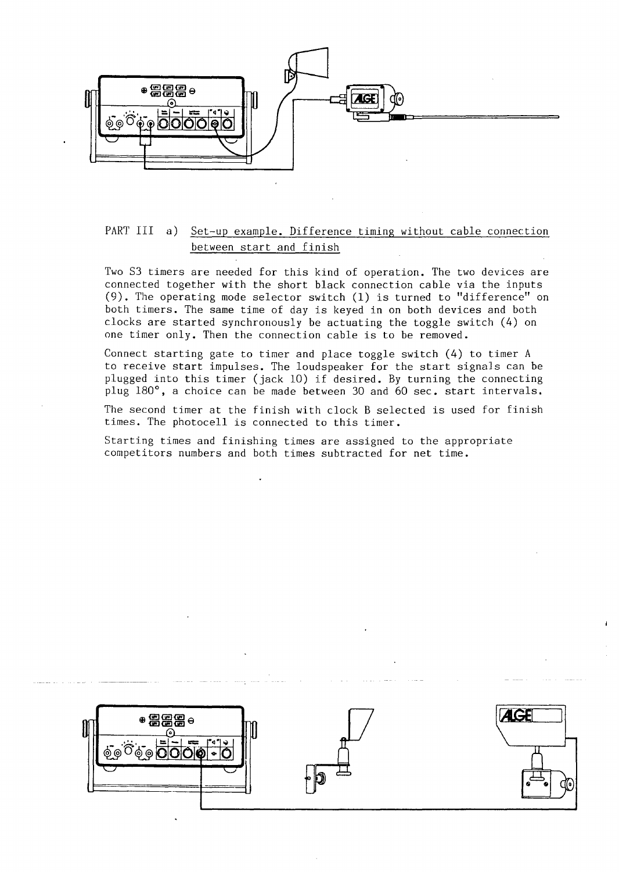

#### PART III a) Set-up example. Difference timing without cable connection between start and finish

Two S3 timers are needed for this kind of operation. The two devices are connected together with the short black connection cable via the inputs (9). The operating mode selector switch (1) is turned to "difference" on both timers. The same time of day is keyed in on both devices and both clocks are started synchronously be actuating the toggle switch (4) on one timer only. Then the connection cable is to be removed.

Connect starting gate to timer and place toggle switch (4) to timer A to receive start impulses. The loudspeaker for the start signa]s can be plugged into this timer (jack 10) if desired. By turning the connecting plug 180°, a choice can be made between 30 and 60 sec. start intervals.

The second timer at the finish with clock B selected is used for finish times. The photocell is connected to this timer.

Starting times and finishing times are assigned to the appropriate competitors numbers and both times subtracted for net time.

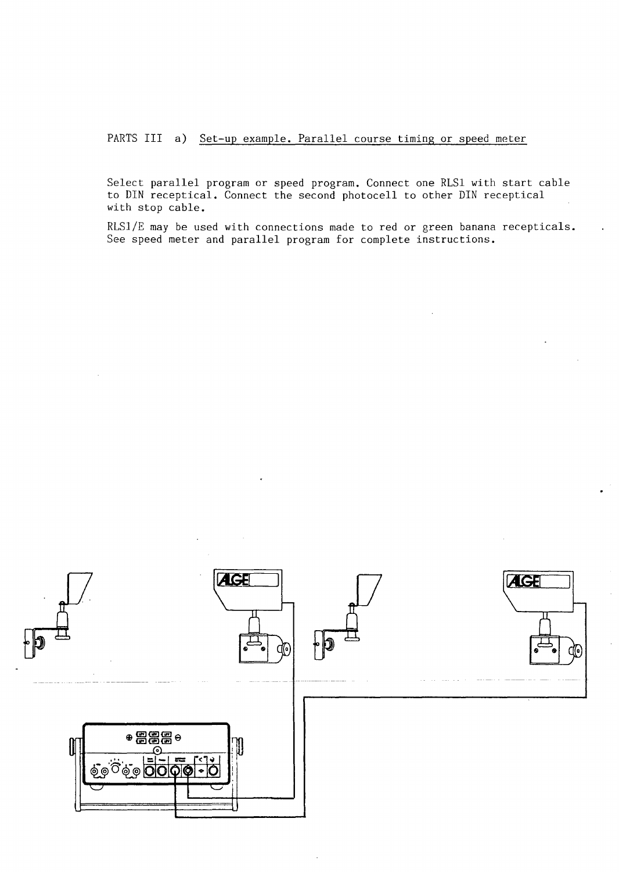PARTS III a) Set-up example. Parallel course timing or speed meter

Select parallel program or speed program. Connect one RLSl with start cable to DIN receptical. Connect the second photocell to other DIN receptical with stop cable.

RLS1/E may be used with connections made to red or green banana recepticals. See speed meter and parallel program for complete instructions.

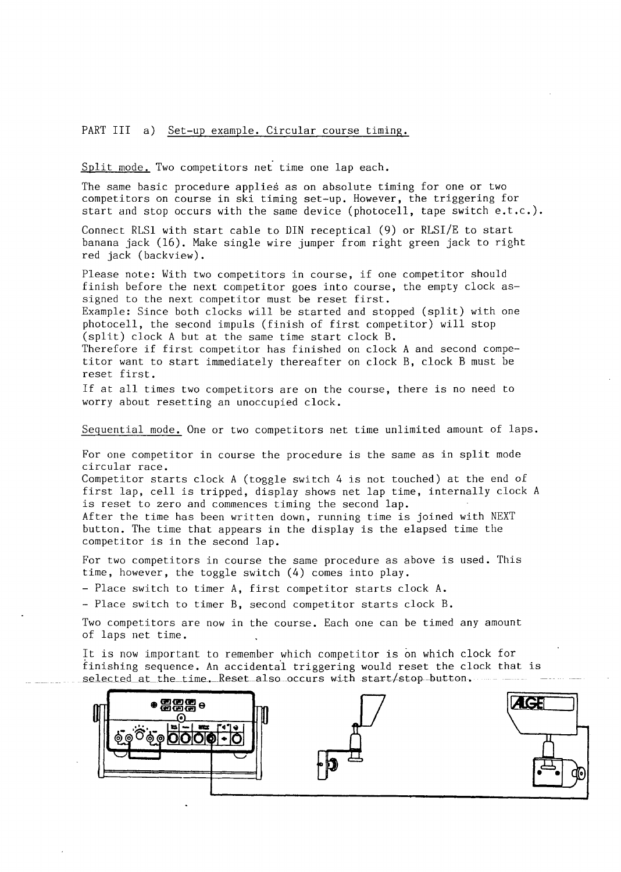#### PART III a) Set-up example. Circular course timing.

Split mode. Two competitors net time one lap each.

The same basic procedure applies as on absolute timing for one or two competitors on course in ski timing set-up. However, the triggering for start and stop occurs with the same device (photocell, tape switch e.t.c.).

Connect RLSl with start cable to DIN receptical (9) or RLSI/E to start banana jack (16). Make single wire jumper from right green jack to right red jack (backview).

Please note: With two competitors in course, if one competitor should finish before the next competitor goes into course, the empty clock assigned to the next competitor must be reset first.

Example: Since both clocks will be started and stopped (split) with one photocell, the second impuls (finish of first competitor) will stop (split) clock A but at the same time start clock B.

Therefore if first competitor has finished on clock A and second competitor want to start immediately thereafter on clock B, clock B must be reset first.

If at all times two competitors are on the course, there is no need to worry about resetting an unoccupied clock.

Seguential mode. One or two competitors net time unlimited amount of laps.

For one competitor in course the procedure is the same as in split mode circular race.

Competitor starts clock A (toggle switch 4 is not touched) at the end of first lap, cell is tripped, display shows net lap time, internally clock A is reset to zero and commences timing the second lap.

After the time has been written down, running time is joined with NEXT button. The time that appears in the display is the elapsed time the competitor is in the second lap.

For two competitors in course the same procedure as above is used. This time, however, the toggle switch (4) comes into play.

- Place switch to timer A, first competitor starts clock A.

- Place switch to timer B, second competitor starts clock B.

Two competitors are now in the course. Each one can be timed any amount of laps net time.

It is now important to remember which competitor is on which clock for tinishing sequence. An accidentai triggering would reset the clock that is selected at the time. Reset also occurs with start/stop-button.

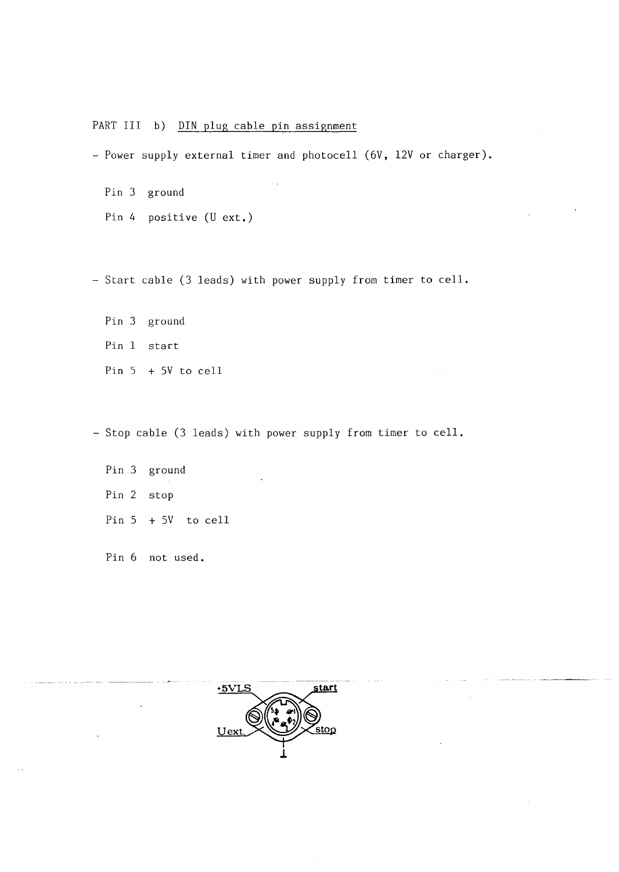#### PART III b) DIN plug cable pin assignment

- Power supply external timer and photocell (6V, 12V or charger).

Pin 3 ground Pin 4 positive (U ext.)

- Start cable (3 leads) with power supply from timer to cell.

Pin 3 ground Pin 1 start Pin 5 + SV to cell

- Stop cable (3 leads) with power supply from timer to cell.

Pin 3 ground Pin 2 stop Pin S + SV to cell

Pin 6 not used.

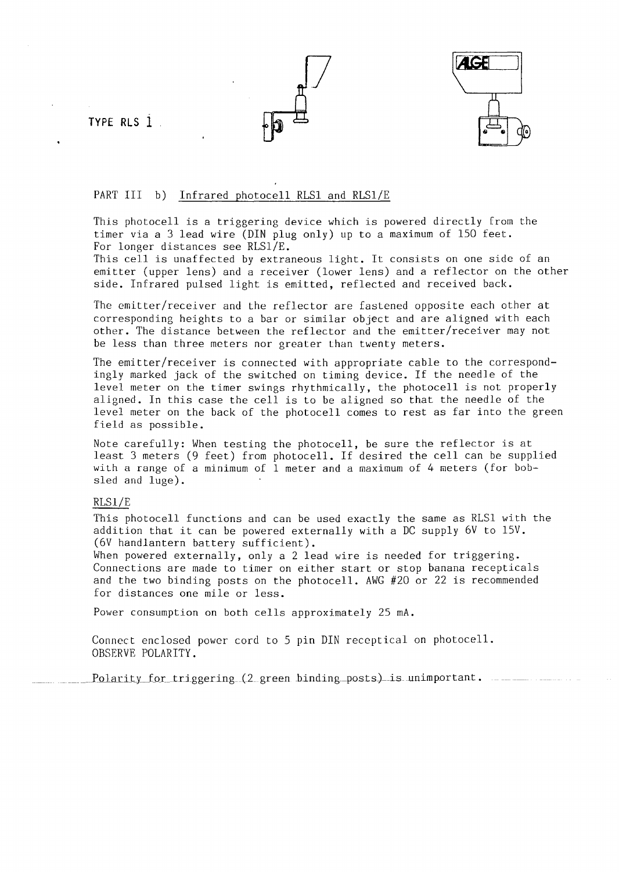**TYPE RLS 1** 





#### PART III b) Infrared photocell RLS1 and RLS1/E

This photocell is a triggering device which is powered directly Erom the timer via a 3 lead wire (DIN plug only) up to a maximum of 150 feet. For longer distances see RLS1/E.

This cell is unaffected by extraneous light. lt consists on one side of an emitter (upper lens) and a receiver (lower lens) and a reflector on the other side. Infrared pulsed light is emitted, reflected and received back.

The emitter/receiver and the reflector are fastened opposite each other at corresponding heights to a bar or similar object and are aligned with each other. The distance between the reflector and the emitter/receiver may not be less than three meters nor greater than twenty meters.

The emitter/receiver is connected with appropriate cable to the correspondingly marked jack of the switched on timing device. If the needle of the level meter on the timer swings rhythmically, the photocell is not properly aligned. In this case the cell is to be aligned so that the needle of the level meter on the back of the photocell comes to rest as far into the green field as possible.

Note carefully: When testing the photocell, be sure the reflector is at least 3 meters (9 feet) from photocell. If desired the cell can be supplied with a range of a minimum of 1 meter and a maximum of 4 meters (for bobsled and luge).

#### RLSl/E

This photocell functions and can be used exactly the same as RLSl with the addition that it can be powered externally with a DC supply 6V to 15V. (6V handlantern battery sufficient).

When powered externally, only a 2 lead wire is needed for triggering. Connections are made to timer on either start or stop banana recepticals and the two binding posts on the photocell. AWG #20 or 22 is recommended for distances one mile or less.

Power consumption on both cells approximately 25 mA.

Connect enclosed power cord to 5 pin DIN receptical on photocell. OBSERVE POLARITY.

Polarity for triggering (2 green binding posts) is unimportant.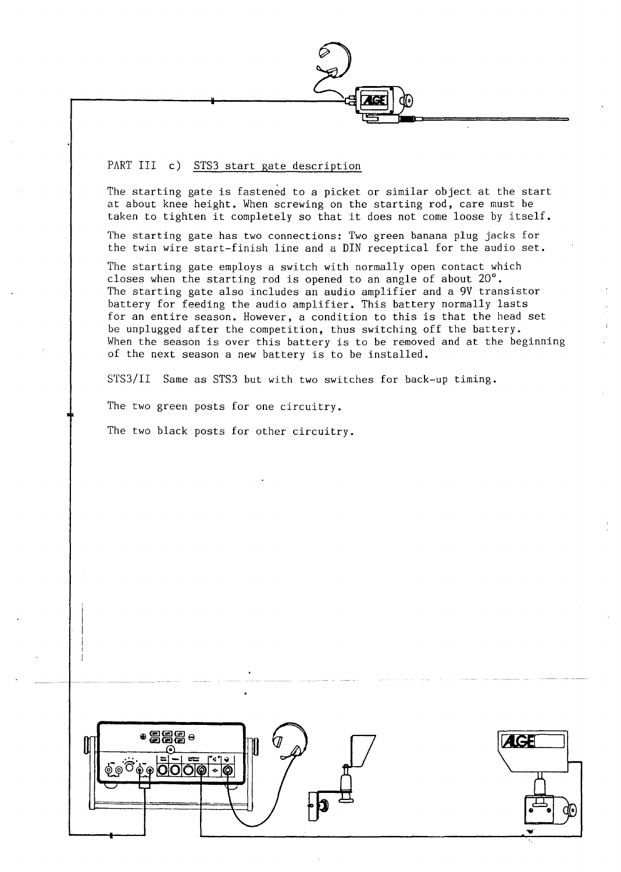PART III c) STS3 start gate description

The starting gate is fastened to a picket or similar object at the start at about knee height. When screwing on the starting rod, care must be taken to tighten it completely so that it does not come loose by itself.

The starting gate has two connections: Two green banana plug jacks for the twin wire start-finish line and a DIN receptical for the audio set.

The starting gate employs a switch with normally open contact which closes when the starting rod is opened to an angle of about 20°. The starting gate also includes an audio amplifier and a 9V transistor battery for feeding the audio amplifier. This battery normally lasts for an entire season. However, a condition to this is that the head set be unplugged after the competition, thus switching off the battery. When the season is over this battery is to be removed and at the beginning of the next season a new battery is to be installed.

STS3/II Same as STS3 but with two switches for back-up timing.

The two green posts for one circuitry.

The two black posts for other circuitry.



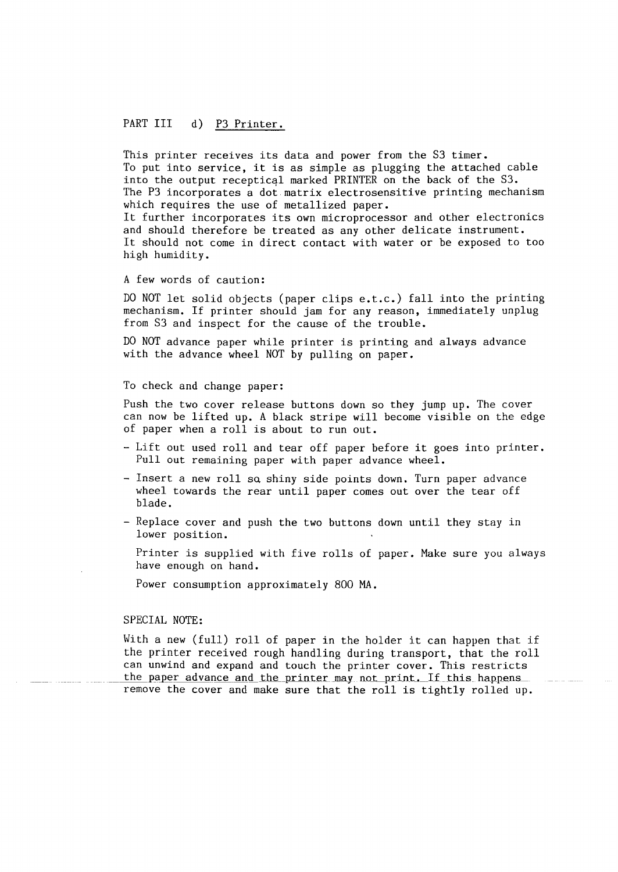#### PART III d) P3 Printer.

This printer receives its data and power from the S3 timer. To put into service, it is as simple as plugging the attached cable into the output receptical marked PRINTER on the back of the S3. The P3 incorporates a dot matrix electrosensitive printing mechanism which requires the use of metallized paper.

lt further incorporates its own microprocessor and other electronics and should therefore be treated as any other delicate instrument. lt should not come in direct contact with water or be exposed to too high humidity.

#### A few words of caution:

DO NOT let solid objects (paper clips e.t.c.) fall into the printing mechanism. If printer should jam for any reason, immediately unplug from S3 and inspect for the cause of the trouble.

DO NOT advance paper while printer is printing and always advance with the advance wheel NOT by pulling on paper.

#### To check and change paper:

Push the two cover release buttons down so they jump up. The cover can now be lifted up. A black stripe will become visible on the edge of paper when a roll is about to run out.

- Lift out used roll and tear off paper before it goes into printer. Pull out remaining paper with paper advance wheel.
- Insert a new roll so shiny side points down. Turn paper advance wheel towards the rear until paper comes out over the tear off blade.
- Replace cover and push the two buttons down until they stay in lower position.

Printer is supplied with five rolls of paper. Make sure you always have enough on hand.

Power consumption approximately 800 MA.

#### SPECIAL NOTE:

With a new (full) roll of paper in the holder it can happen that if the printer received rough handling during transport, that the roll can unwind and expand and touch the printer cover. This restricts the paper advance and the printer may not print. If this happens remove the cover and make sure that the roll is tightly rolled up.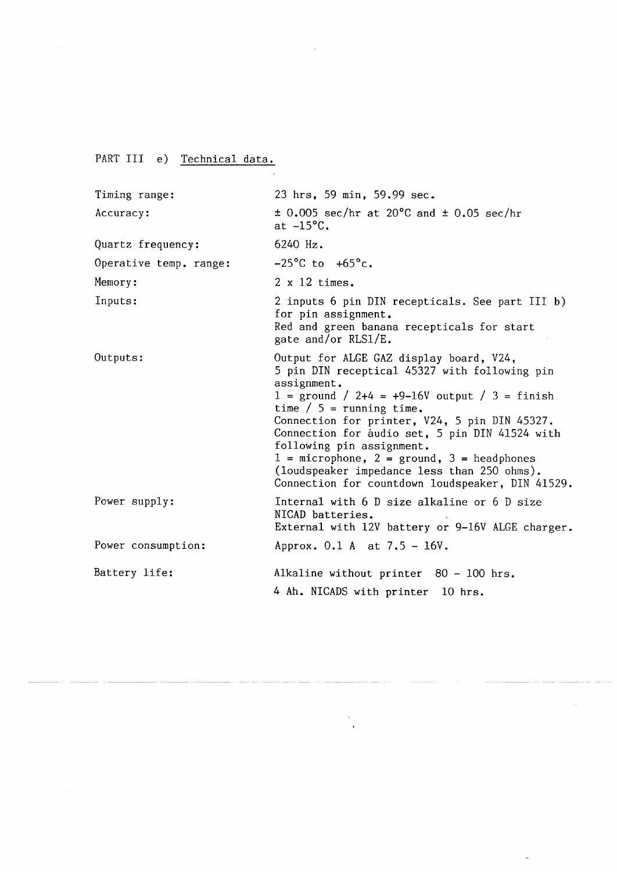PART III e) Technical data.

| Timing range:          | 23 hrs, 59 min, 59.99 sec.                                                                                                                                                                                                                                                                                                                                                                                                                                                      |  |  |
|------------------------|---------------------------------------------------------------------------------------------------------------------------------------------------------------------------------------------------------------------------------------------------------------------------------------------------------------------------------------------------------------------------------------------------------------------------------------------------------------------------------|--|--|
| Accuracy:              | $\pm$ 0.005 sec/hr at 20°C and $\pm$ 0.05 sec/hr<br>at $-15^{\circ}$ C.                                                                                                                                                                                                                                                                                                                                                                                                         |  |  |
| Quartz frequency:      | 6240 Hz.                                                                                                                                                                                                                                                                                                                                                                                                                                                                        |  |  |
| Operative temp. range: | $-25^{\circ}$ C to $+65^{\circ}$ c.                                                                                                                                                                                                                                                                                                                                                                                                                                             |  |  |
| Memory:                | $2 \times 12$ times.                                                                                                                                                                                                                                                                                                                                                                                                                                                            |  |  |
| Inputs:                | 2 inputs 6 pin DIN recepticals. See part III b)<br>for pin assignment.<br>Red and green banana recepticals for start<br>gate and/or RLS1/E.                                                                                                                                                                                                                                                                                                                                     |  |  |
| Outputs:               | Output for ALGE GAZ display board, V24,<br>5 pin DIN receptical 45327 with following pin<br>assignment.<br>$1 =$ ground / 2+4 = +9-16V output / 3 = finish<br>time $/ 5$ = running time.<br>Connection for printer, V24, 5 pin DIN 45327.<br>Connection for audio set, 5 pin DIN 41524 with<br>following pin assignment.<br>$1 =$ microphone, $2 =$ ground, $3 =$ headphones<br>(loudspeaker impedance less than 250 ohms).<br>Connection for countdown loudspeaker, DIN 41529. |  |  |
| Power supply:          | Internal with 6 D size alkaline or 6 D size<br>NICAD batteries.<br>External with 12V battery or 9-16V ALGE charger.                                                                                                                                                                                                                                                                                                                                                             |  |  |
| Power consumption:     | Approx. $0.1$ A at $7.5 - 16V$ .                                                                                                                                                                                                                                                                                                                                                                                                                                                |  |  |
| Battery life:          | Alkaline without printer 80 - 100 hrs.<br>4 Ah. NICADS with printer 10 hrs.                                                                                                                                                                                                                                                                                                                                                                                                     |  |  |

 $\label{eq:1} \begin{aligned} \text{d} \boldsymbol{\theta} & = \begin{bmatrix} \boldsymbol{\theta} & \boldsymbol{\theta} \\ \boldsymbol{\theta} & \boldsymbol{\theta} \end{bmatrix} \boldsymbol{\theta} \boldsymbol{\theta} \boldsymbol{\theta} \boldsymbol{\theta} \boldsymbol{\theta} \boldsymbol{\theta} \boldsymbol{\theta} \boldsymbol{\theta} \boldsymbol{\theta} \boldsymbol{\theta} \boldsymbol{\theta} \boldsymbol{\theta} \boldsymbol{\theta} \boldsymbol{\theta} \boldsymbol{\theta} \boldsymbol{\theta} \boldsymbol{\theta} \boldsymbol{\theta} \boldsymbol{\theta} \boldsymbol{\theta} \boldsymbol{\theta} \boldsymbol{\theta} \boldsymbol{\theta} \boldsymbol{\theta} \boldsymbol{\theta} \boldsymbol{\theta}$ 

 $\mathcal{L}_{\mathcal{A}}$  $\ddot{\phantom{0}}$ 

 $\hat{\phi}$ 

 $\sim$   $\sim$ 

 $\ddot{\phantom{a}}$ 

 $\sim 10^{11}$  km  $^{-1}$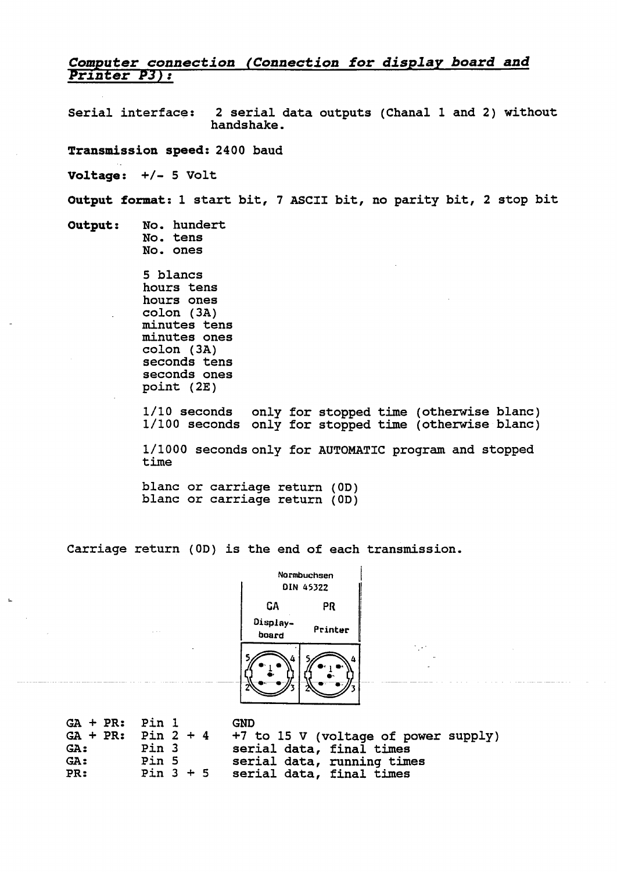### Computer connection (Connection for display board and<br>Printer P3):

Serial interface: 2 serial data outputs (Chanal 1 and 2) without handshake.

**Transmission speed:** 2400 baud

**Voltage:** +/- 5 Volt

**Output format: 1** start bit, 7 ASCII bit, no parity bit, 2 stop bit

**Output:** No. hundert

 $\sim$ 

No. tens No. ones

5 blancs hours tens hours ones colon (3A) minutes tens minutes ones colon (3A) seconds tens seconds ones point (2E)

1/10 seconds only for stopped time (otherwise blanc) 1/100 seconds only for stopped time (otherwise blanc)

1/1000 secondsonly for AUTOMATIC program and stopped time

blanc or carriage return (0D) blanc or carriage return (OD)

Carriage return (OD) is the end of each transmission.



| GA + PR: Pin 1 |                      | <b>GND</b>                           |
|----------------|----------------------|--------------------------------------|
|                | $GA + PR: Pin 2 + 4$ | +7 to 15 V (voltage of power supply) |
| <b>GA :</b>    | Pin 3                | serial data, final times             |
| GA:            | Pin 5                | serial data, running times           |
| PR:            | Pin $3 + 5$          | serial data, final times             |